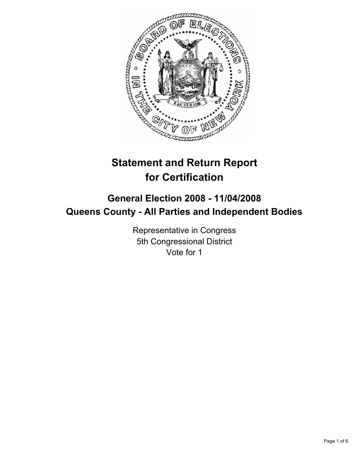

# **Statement and Return Report for Certification**

## **General Election 2008 - 11/04/2008 Queens County - All Parties and Independent Bodies**

Representative in Congress 5th Congressional District Vote for 1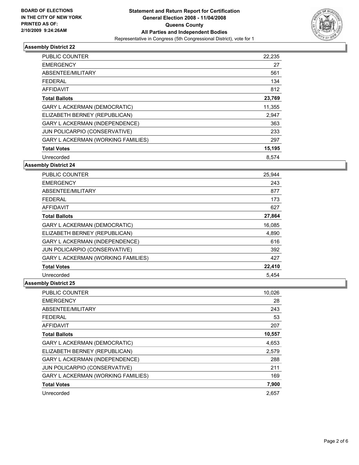

| PUBLIC COUNTER                            | 22,235 |
|-------------------------------------------|--------|
| <b>EMERGENCY</b>                          | 27     |
| ABSENTEE/MILITARY                         | 561    |
| <b>FEDERAL</b>                            | 134    |
| <b>AFFIDAVIT</b>                          | 812    |
| <b>Total Ballots</b>                      | 23,769 |
| <b>GARY L ACKERMAN (DEMOCRATIC)</b>       | 11,355 |
| ELIZABETH BERNEY (REPUBLICAN)             | 2,947  |
| <b>GARY L ACKERMAN (INDEPENDENCE)</b>     | 363    |
| JUN POLICARPIO (CONSERVATIVE)             | 233    |
| <b>GARY L ACKERMAN (WORKING FAMILIES)</b> | 297    |
| <b>Total Votes</b>                        | 15,195 |
| Unrecorded                                | 8,574  |

#### **Assembly District 24**

| <b>PUBLIC COUNTER</b>                     | 25,944 |
|-------------------------------------------|--------|
| <b>EMERGENCY</b>                          | 243    |
| ABSENTEE/MILITARY                         | 877    |
| <b>FEDERAL</b>                            | 173    |
| <b>AFFIDAVIT</b>                          | 627    |
| <b>Total Ballots</b>                      | 27,864 |
| <b>GARY L ACKERMAN (DEMOCRATIC)</b>       | 16,085 |
| ELIZABETH BERNEY (REPUBLICAN)             | 4,890  |
| <b>GARY L ACKERMAN (INDEPENDENCE)</b>     | 616    |
| JUN POLICARPIO (CONSERVATIVE)             | 392    |
| <b>GARY L ACKERMAN (WORKING FAMILIES)</b> | 427    |
| <b>Total Votes</b>                        | 22,410 |
| Unrecorded                                | 5,454  |

| PUBLIC COUNTER                        | 10,026 |
|---------------------------------------|--------|
| <b>EMERGENCY</b>                      | 28     |
| ABSENTEE/MILITARY                     | 243    |
| <b>FEDERAL</b>                        | 53     |
| <b>AFFIDAVIT</b>                      | 207    |
| <b>Total Ballots</b>                  | 10,557 |
| GARY L ACKERMAN (DEMOCRATIC)          | 4,653  |
| ELIZABETH BERNEY (REPUBLICAN)         | 2,579  |
| <b>GARY L ACKERMAN (INDEPENDENCE)</b> | 288    |
| JUN POLICARPIO (CONSERVATIVE)         | 211    |
| GARY L ACKERMAN (WORKING FAMILIES)    | 169    |
| <b>Total Votes</b>                    | 7,900  |
| Unrecorded                            | 2.657  |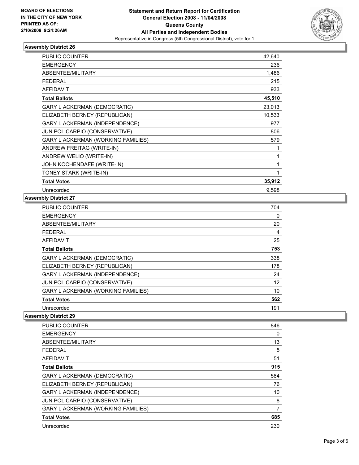

| <b>PUBLIC COUNTER</b>                 | 42,640 |
|---------------------------------------|--------|
| <b>EMERGENCY</b>                      | 236    |
| ABSENTEE/MILITARY                     | 1,486  |
| <b>FEDERAL</b>                        | 215    |
| <b>AFFIDAVIT</b>                      | 933    |
| <b>Total Ballots</b>                  | 45,510 |
| GARY L ACKERMAN (DEMOCRATIC)          | 23,013 |
| ELIZABETH BERNEY (REPUBLICAN)         | 10,533 |
| <b>GARY L ACKERMAN (INDEPENDENCE)</b> | 977    |
| JUN POLICARPIO (CONSERVATIVE)         | 806    |
| GARY L ACKERMAN (WORKING FAMILIES)    | 579    |
| ANDREW FREITAG (WRITE-IN)             |        |
| ANDREW WELIO (WRITE-IN)               |        |
| JOHN KOCHENDAFE (WRITE-IN)            |        |
| TONEY STARK (WRITE-IN)                |        |
| <b>Total Votes</b>                    | 35,912 |
| Unrecorded                            | 9,598  |

#### **Assembly District 27**

| <b>PUBLIC COUNTER</b>                 | 704 |  |
|---------------------------------------|-----|--|
| <b>EMERGENCY</b>                      | 0   |  |
| ABSENTEE/MILITARY                     | 20  |  |
| <b>FEDERAL</b>                        | 4   |  |
| <b>AFFIDAVIT</b>                      | 25  |  |
| <b>Total Ballots</b>                  | 753 |  |
| GARY L ACKERMAN (DEMOCRATIC)          | 338 |  |
| ELIZABETH BERNEY (REPUBLICAN)         | 178 |  |
| <b>GARY L ACKERMAN (INDEPENDENCE)</b> | 24  |  |
| JUN POLICARPIO (CONSERVATIVE)         | 12  |  |
| GARY L ACKERMAN (WORKING FAMILIES)    | 10  |  |
| <b>Total Votes</b>                    | 562 |  |
| Unrecorded                            | 191 |  |

| PUBLIC COUNTER                            | 846 |
|-------------------------------------------|-----|
| <b>EMERGENCY</b>                          | 0   |
| ABSENTEE/MILITARY                         | 13  |
| <b>FEDERAL</b>                            | 5   |
| AFFIDAVIT                                 | 51  |
| <b>Total Ballots</b>                      | 915 |
| <b>GARY L ACKERMAN (DEMOCRATIC)</b>       | 584 |
| ELIZABETH BERNEY (REPUBLICAN)             | 76  |
| <b>GARY L ACKERMAN (INDEPENDENCE)</b>     | 10  |
| JUN POLICARPIO (CONSERVATIVE)             | 8   |
| <b>GARY L ACKERMAN (WORKING FAMILIES)</b> | 7   |
| <b>Total Votes</b>                        | 685 |
| Unrecorded                                | 230 |
|                                           |     |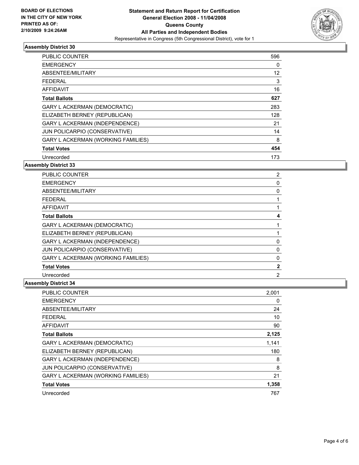

| <b>PUBLIC COUNTER</b>                     | 596 |  |
|-------------------------------------------|-----|--|
| <b>EMERGENCY</b>                          | 0   |  |
| ABSENTEE/MILITARY                         | 12  |  |
| <b>FEDERAL</b>                            | 3   |  |
| <b>AFFIDAVIT</b>                          | 16  |  |
| <b>Total Ballots</b>                      | 627 |  |
| <b>GARY L ACKERMAN (DEMOCRATIC)</b>       | 283 |  |
| ELIZABETH BERNEY (REPUBLICAN)             | 128 |  |
| GARY L ACKERMAN (INDEPENDENCE)            | 21  |  |
| JUN POLICARPIO (CONSERVATIVE)             | 14  |  |
| <b>GARY L ACKERMAN (WORKING FAMILIES)</b> | 8   |  |
| <b>Total Votes</b>                        | 454 |  |
| Unrecorded                                | 173 |  |

#### **Assembly District 33**

| <b>PUBLIC COUNTER</b>                     |  |
|-------------------------------------------|--|
| <b>EMERGENCY</b>                          |  |
| ABSENTEE/MILITARY                         |  |
| <b>FEDERAL</b>                            |  |
| <b>AFFIDAVIT</b>                          |  |
| <b>Total Ballots</b>                      |  |
| <b>GARY L ACKERMAN (DEMOCRATIC)</b>       |  |
| ELIZABETH BERNEY (REPUBLICAN)             |  |
| <b>GARY L ACKERMAN (INDEPENDENCE)</b>     |  |
| JUN POLICARPIO (CONSERVATIVE)             |  |
| <b>GARY L ACKERMAN (WORKING FAMILIES)</b> |  |
| <b>Total Votes</b>                        |  |
| Unrecorded                                |  |

| PUBLIC COUNTER                            | 2,001 |  |
|-------------------------------------------|-------|--|
| <b>EMERGENCY</b>                          | 0     |  |
| ABSENTEE/MILITARY                         | 24    |  |
| <b>FEDERAL</b>                            | 10    |  |
| AFFIDAVIT                                 | 90    |  |
| <b>Total Ballots</b>                      | 2,125 |  |
| <b>GARY L ACKERMAN (DEMOCRATIC)</b>       | 1,141 |  |
| ELIZABETH BERNEY (REPUBLICAN)             | 180   |  |
| GARY L ACKERMAN (INDEPENDENCE)            | 8     |  |
| JUN POLICARPIO (CONSERVATIVE)             | 8     |  |
| <b>GARY L ACKERMAN (WORKING FAMILIES)</b> | 21    |  |
| <b>Total Votes</b>                        | 1,358 |  |
| Unrecorded                                | 767   |  |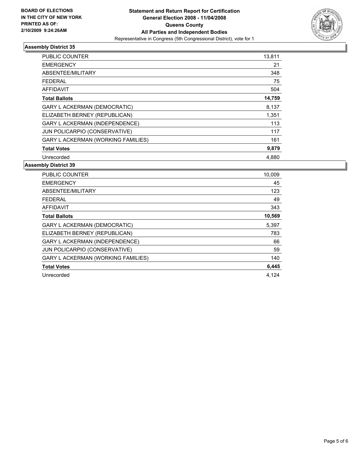

| PUBLIC COUNTER                            | 13,811 |
|-------------------------------------------|--------|
| <b>EMERGENCY</b>                          | 21     |
| ABSENTEE/MILITARY                         | 348    |
| FEDERAL                                   | 75     |
| AFFIDAVIT                                 | 504    |
| <b>Total Ballots</b>                      | 14,759 |
| <b>GARY L ACKERMAN (DEMOCRATIC)</b>       | 8,137  |
| ELIZABETH BERNEY (REPUBLICAN)             | 1,351  |
| GARY L ACKERMAN (INDEPENDENCE)            | 113    |
| JUN POLICARPIO (CONSERVATIVE)             | 117    |
| <b>GARY L ACKERMAN (WORKING FAMILIES)</b> | 161    |
| <b>Total Votes</b>                        | 9,879  |
| Unrecorded                                | 4,880  |

| <b>PUBLIC COUNTER</b>                     | 10,009 |
|-------------------------------------------|--------|
| <b>EMERGENCY</b>                          | 45     |
| ABSENTEE/MILITARY                         | 123    |
| <b>FEDERAL</b>                            | 49     |
| AFFIDAVIT                                 | 343    |
| <b>Total Ballots</b>                      | 10,569 |
| GARY L ACKERMAN (DEMOCRATIC)              | 5,397  |
| ELIZABETH BERNEY (REPUBLICAN)             | 783    |
| <b>GARY L ACKERMAN (INDEPENDENCE)</b>     | 66     |
| JUN POLICARPIO (CONSERVATIVE)             | 59     |
| <b>GARY L ACKERMAN (WORKING FAMILIES)</b> | 140    |
| <b>Total Votes</b>                        | 6,445  |
| Unrecorded                                | 4,124  |